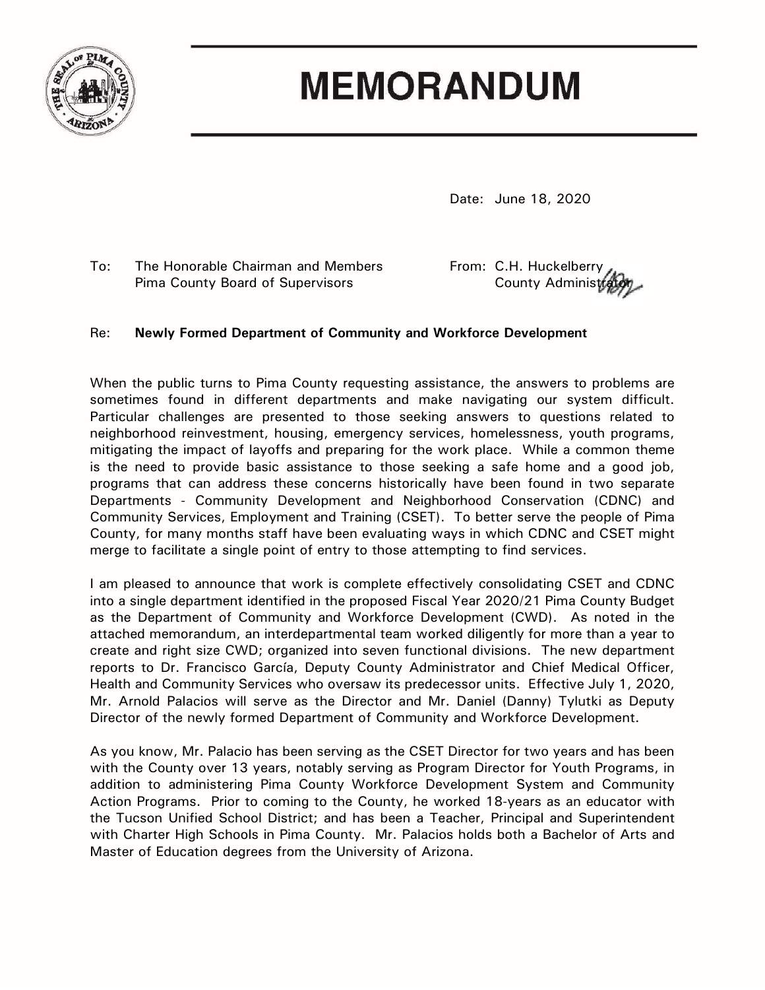

# **MEMORANDUM**

Date: June 18, 2020

To: The Honorable Chairman and Members From: C.H. Huckelberry Pima County Board of Supervisors **County Administrator** County Administrator

#### Re: **Newly Formed Department of Community and Workforce Development**

When the public turns to Pima County requesting assistance, the answers to problems are sometimes found in different departments and make navigating our system difficult. Particular challenges are presented to those seeking answers to questions related to neighborhood reinvestment, housing, emergency services, homelessness, youth programs, mitigating the impact of layoffs and preparing for the work place. While a common theme is the need to provide basic assistance to those seeking a safe home and a good job, programs that can address these concerns historically have been found in two separate Departments - Community Development and Neighborhood Conservation (CDNC) and Community Services, Employment and Training (CSET). To better serve the people of Pima County, for many months staff have been evaluating ways in which CDNC and CSET might merge to facilitate a single point of entry to those attempting to find services.

I am pleased to announce that work is complete effectively consolidating CSET and CDNC into a single department identified in the proposed Fiscal Year 2020/21 Pima County Budget as the Department of Community and Workforce Development (CWD). As noted in the attached memorandum, an interdepartmental team worked diligently for more than a year to create and right size CWD; organized into seven functional divisions. The new department reports to Dr. Francisco García, Deputy County Administrator and Chief Medical Officer, Health and Community Services who oversaw its predecessor units. Effective July 1, 2020, Mr. Arnold Palacios will serve as the Director and Mr. Daniel (Danny) Tylutki as Deputy Director of the newly formed Department of Community and Workforce Development.

As you know, Mr. Palacio has been serving as the CSET Director for two years and has been with the County over 13 years, notably serving as Program Director for Youth Programs, in addition to administering Pima County Workforce Development System and Community Action Programs. Prior to coming to the County, he worked 18-years as an educator with the Tucson Unified School District; and has been a Teacher, Principal and Superintendent with Charter High Schools in Pima County. Mr. Palacios holds both a Bachelor of Arts and Master of Education degrees from the University of Arizona.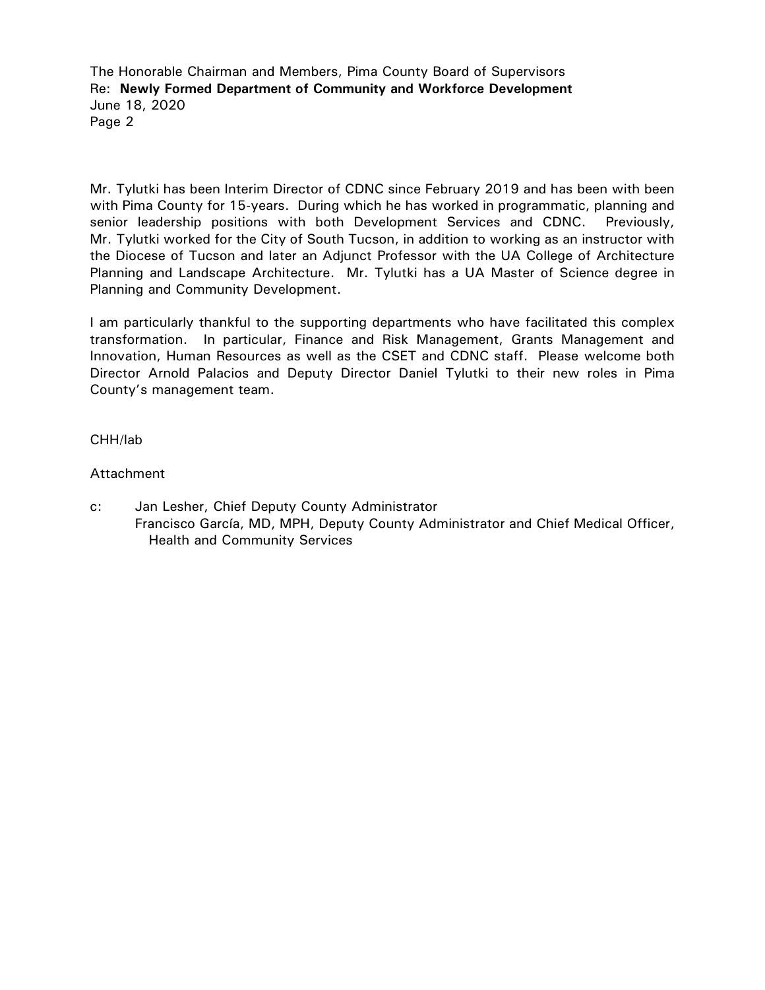The Honorable Chairman and Members, Pima County Board of Supervisors Re: **Newly Formed Department of Community and Workforce Development**  June 18, 2020 Page 2

Mr. Tylutki has been Interim Director of CDNC since February 2019 and has been with been with Pima County for 15-years. During which he has worked in programmatic, planning and senior leadership positions with both Development Services and CDNC. Previously, Mr. Tylutki worked for the City of South Tucson, in addition to working as an instructor with the Diocese of Tucson and later an Adjunct Professor with the UA College of Architecture Planning and Landscape Architecture. Mr. Tylutki has a UA Master of Science degree in Planning and Community Development.

I am particularly thankful to the supporting departments who have facilitated this complex transformation. In particular, Finance and Risk Management, Grants Management and Innovation, Human Resources as well as the CSET and CDNC staff. Please welcome both Director Arnold Palacios and Deputy Director Daniel Tylutki to their new roles in Pima County's management team.

#### CHH/lab

#### Attachment

c: Jan Lesher, Chief Deputy County Administrator Francisco García, MD, MPH, Deputy County Administrator and Chief Medical Officer, Health and Community Services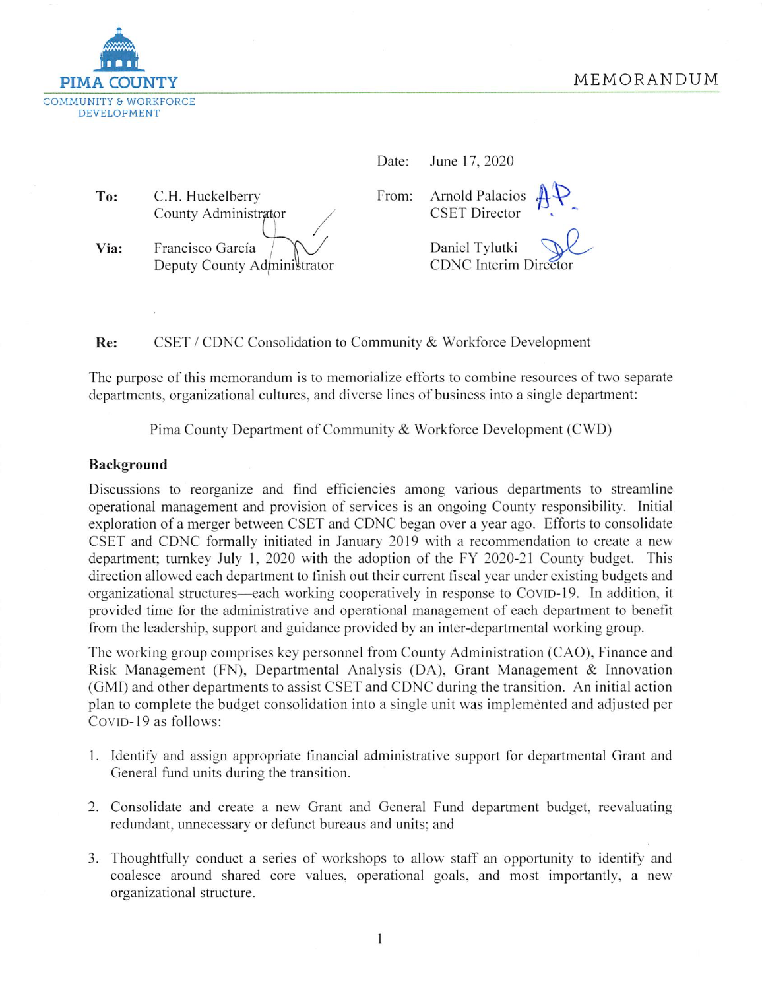

| Date: |  | June 17, 2020 |
|-------|--|---------------|
|       |  |               |

To: C.H. Huckelberry County Administrator Francisco García Via: Deputy County Administrator

**Arnold Palacios** From: **CSET** Director

> Daniel Tvlutki **CDNC** Interim Director

CSET / CDNC Consolidation to Community & Workforce Development Re:

The purpose of this memorandum is to memorialize efforts to combine resources of two separate departments, organizational cultures, and diverse lines of business into a single department:

Pima County Department of Community & Workforce Development (CWD)

#### Background

Discussions to reorganize and find efficiencies among various departments to streamline operational management and provision of services is an ongoing County responsibility. Initial exploration of a merger between CSET and CDNC began over a year ago. Efforts to consolidate CSET and CDNC formally initiated in January 2019 with a recommendation to create a new department; turnkey July 1, 2020 with the adoption of the FY 2020-21 County budget. This direction allowed each department to finish out their current fiscal year under existing budgets and organizational structures—each working cooperatively in response to COVID-19. In addition, it provided time for the administrative and operational management of each department to benefit from the leadership, support and guidance provided by an inter-departmental working group.

The working group comprises key personnel from County Administration (CAO), Finance and Risk Management (FN), Departmental Analysis (DA), Grant Management & Innovation (GMI) and other departments to assist CSET and CDNC during the transition. An initial action plan to complete the budget consolidation into a single unit was implemented and adjusted per COVID-19 as follows:

- 1. Identify and assign appropriate financial administrative support for departmental Grant and General fund units during the transition.
- 2. Consolidate and create a new Grant and General Fund department budget, reevaluating redundant, unnecessary or defunct bureaus and units; and
- 3. Thoughtfully conduct a series of workshops to allow staff an opportunity to identify and coalesce around shared core values, operational goals, and most importantly, a new organizational structure.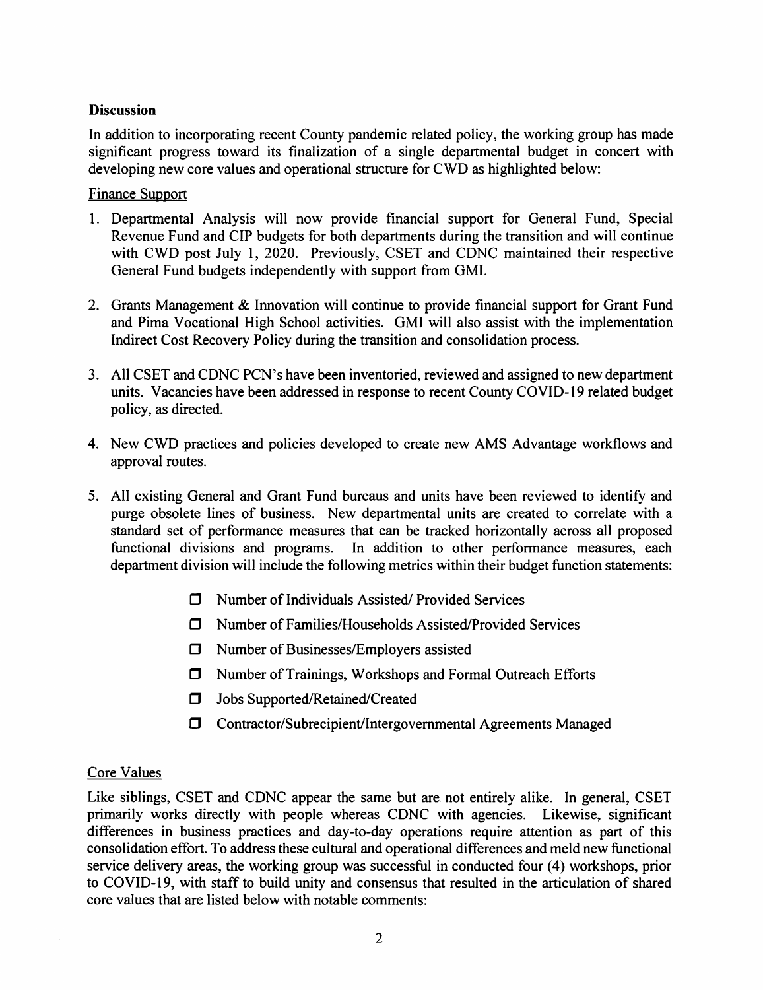#### **Discussion**

In addition to incorporating recent County pandemic related policy, the working group has made significant progress toward its finalization of a single departmental budget in concert with developing new core values and operational structure for CWD as highlighted below:

#### **Finance Support**

- 1. Departmental Analysis will now provide financial support for General Fund, Special Revenue Fund and CIP budgets for both departments during the transition and will continue with CWD post July 1, 2020. Previously, CSET and CDNC maintained their respective General Fund budgets independently with support from GMI.
- 2. Grants Management & Innovation will continue to provide financial support for Grant Fund and Pima Vocational High School activities. GMI will also assist with the implementation Indirect Cost Recovery Policy during the transition and consolidation process.
- 3. All CSET and CDNC PCN's have been inventoried, reviewed and assigned to new department units. Vacancies have been addressed in response to recent County COVID-19 related budget policy, as directed.
- 4. New CWD practices and policies developed to create new AMS Advantage workflows and approval routes.
- 5. All existing General and Grant Fund bureaus and units have been reviewed to identify and purge obsolete lines of business. New departmental units are created to correlate with a standard set of performance measures that can be tracked horizontally across all proposed functional divisions and programs. In addition to other performance measures, each department division will include the following metrics within their budget function statements:
	- $\Box$  Number of Individuals Assisted/ Provided Services
	- $\Box$  Number of Families/Households Assisted/Provided Services
	- □ Number of Businesses/Employers assisted
	- □ Number of Trainings, Workshops and Formal Outreach Efforts
	- **J** Jobs Supported/Retained/Created
	- **I** Contractor/Subrecipient/Intergovernmental Agreements Managed

# **Core Values**

Like siblings, CSET and CDNC appear the same but are not entirely alike. In general, CSET primarily works directly with people whereas CDNC with agencies. Likewise, significant differences in business practices and day-to-day operations require attention as part of this consolidation effort. To address these cultural and operational differences and meld new functional service delivery areas, the working group was successful in conducted four (4) workshops, prior to COVID-19, with staff to build unity and consensus that resulted in the articulation of shared core values that are listed below with notable comments: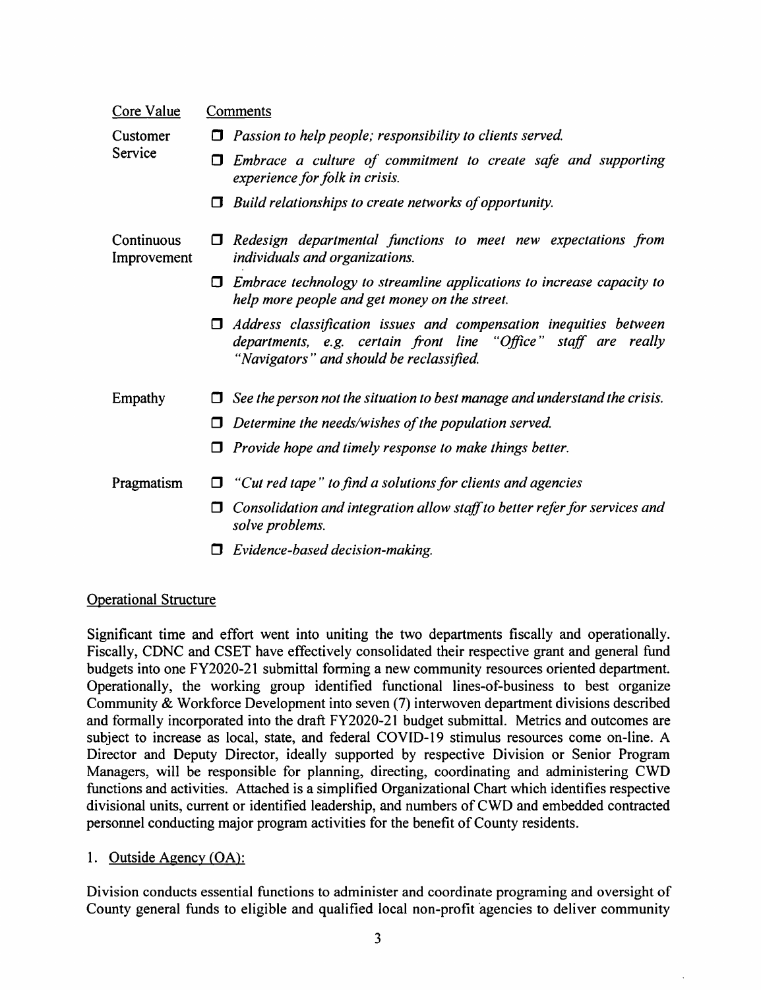| Core Value                | <b>Comments</b>                                                                                                                                                                      |  |  |
|---------------------------|--------------------------------------------------------------------------------------------------------------------------------------------------------------------------------------|--|--|
| Customer<br>Service       | Passion to help people; responsibility to clients served.<br>0                                                                                                                       |  |  |
|                           | Embrace a culture of commitment to create safe and supporting<br>О<br>experience for folk in crisis.                                                                                 |  |  |
|                           | Build relationships to create networks of opportunity.<br>Π                                                                                                                          |  |  |
| Continuous<br>Improvement | Redesign departmental functions to meet new expectations from<br>individuals and organizations.                                                                                      |  |  |
|                           | Embrace technology to streamline applications to increase capacity to<br>Ω<br>help more people and get money on the street.                                                          |  |  |
|                           | Address classification issues and compensation inequities between<br>0<br>departments, e.g. certain front line "Office" staff are really<br>"Navigators" and should be reclassified. |  |  |
| Empathy                   | See the person not the situation to best manage and understand the crisis.                                                                                                           |  |  |
|                           | Determine the needs/wishes of the population served.                                                                                                                                 |  |  |
|                           | Provide hope and timely response to make things better.                                                                                                                              |  |  |
| Pragmatism                | "Cut red tape" to find a solutions for clients and agencies                                                                                                                          |  |  |
|                           | Consolidation and integration allow staff to better refer for services and<br>□<br>solve problems.                                                                                   |  |  |
|                           | Evidence-based decision-making.                                                                                                                                                      |  |  |

#### **Operational Structure**

Significant time and effort went into uniting the two departments fiscally and operationally. Fiscally, CDNC and CSET have effectively consolidated their respective grant and general fund budgets into one FY2020-21 submittal forming a new community resources oriented department. Operationally, the working group identified functional lines-of-business to best organize Community & Workforce Development into seven (7) interwoven department divisions described and formally incorporated into the draft FY2020-21 budget submittal. Metrics and outcomes are subject to increase as local, state, and federal COVID-19 stimulus resources come on-line. A Director and Deputy Director, ideally supported by respective Division or Senior Program Managers, will be responsible for planning, directing, coordinating and administering CWD functions and activities. Attached is a simplified Organizational Chart which identifies respective divisional units, current or identified leadership, and numbers of CWD and embedded contracted personnel conducting major program activities for the benefit of County residents.

#### 1. Outside Agency (OA):

Division conducts essential functions to administer and coordinate programing and oversight of County general funds to eligible and qualified local non-profit agencies to deliver community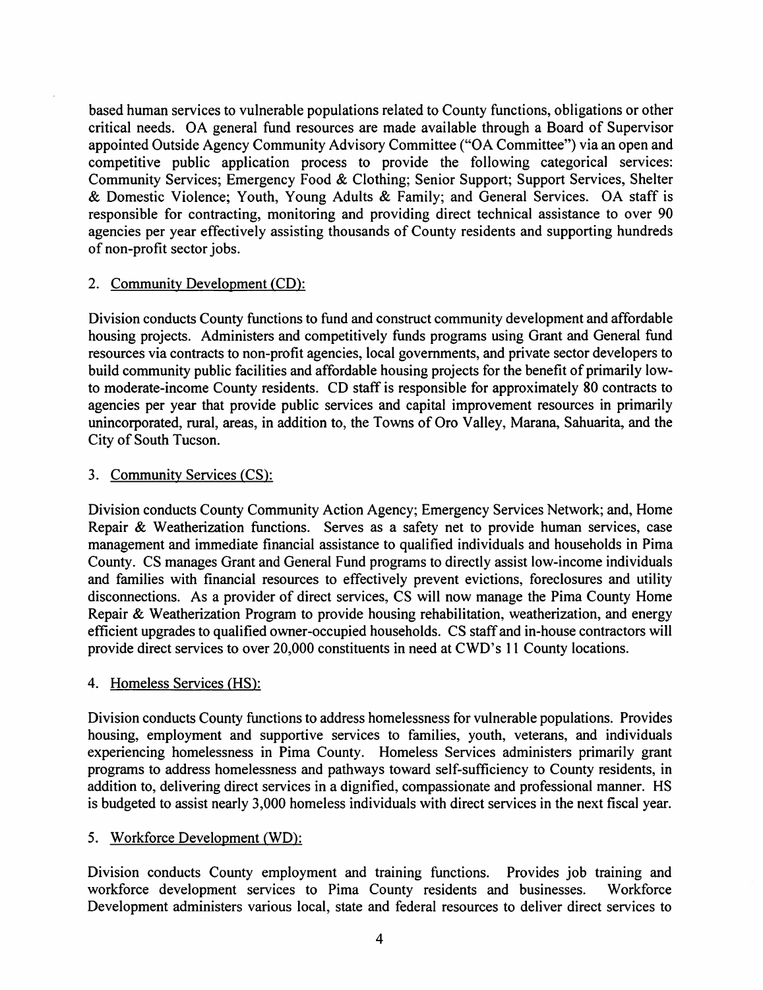based human services to vulnerable populations related to County functions, obligations or other critical needs. OA general fund resources are made available through a Board of Supervisor appointed Outside Agency Community Advisory Committee ("OA Committee") via an open and competitive public application process to provide the following categorical services: Community Services; Emergency Food & Clothing; Senior Support; Support Services, Shelter & Domestic Violence; Youth, Young Adults & Family; and General Services. OA staff is responsible for contracting, monitoring and providing direct technical assistance to over 90 agencies per year effectively assisting thousands of County residents and supporting hundreds of non-profit sector jobs.

# 2. Community Development (CD):

Division conducts County functions to fund and construct community development and affordable housing projects. Administers and competitively funds programs using Grant and General fund resources via contracts to non-profit agencies, local governments, and private sector developers to build community public facilities and affordable housing projects for the benefit of primarily lowto moderate-income County residents. CD staff is responsible for approximately 80 contracts to agencies per year that provide public services and capital improvement resources in primarily unincorporated, rural, areas, in addition to, the Towns of Oro Valley, Marana, Sahuarita, and the City of South Tucson.

## 3. Community Services (CS):

Division conducts County Community Action Agency; Emergency Services Network; and, Home Repair & Weatherization functions. Serves as a safety net to provide human services, case management and immediate financial assistance to qualified individuals and households in Pima County. CS manages Grant and General Fund programs to directly assist low-income individuals and families with financial resources to effectively prevent evictions, foreclosures and utility disconnections. As a provider of direct services, CS will now manage the Pima County Home Repair & Weatherization Program to provide housing rehabilitation, weatherization, and energy efficient upgrades to qualified owner-occupied households. CS staff and in-house contractors will provide direct services to over 20,000 constituents in need at CWD's 11 County locations.

# 4. Homeless Services (HS):

Division conducts County functions to address homelessness for vulnerable populations. Provides housing, employment and supportive services to families, youth, veterans, and individuals experiencing homelessness in Pima County. Homeless Services administers primarily grant programs to address homelessness and pathways toward self-sufficiency to County residents, in addition to, delivering direct services in a dignified, compassionate and professional manner. HS is budgeted to assist nearly 3,000 homeless individuals with direct services in the next fiscal year.

# 5. Workforce Development (WD):

Division conducts County employment and training functions. Provides job training and workforce development services to Pima County residents and businesses. Workforce Development administers various local, state and federal resources to deliver direct services to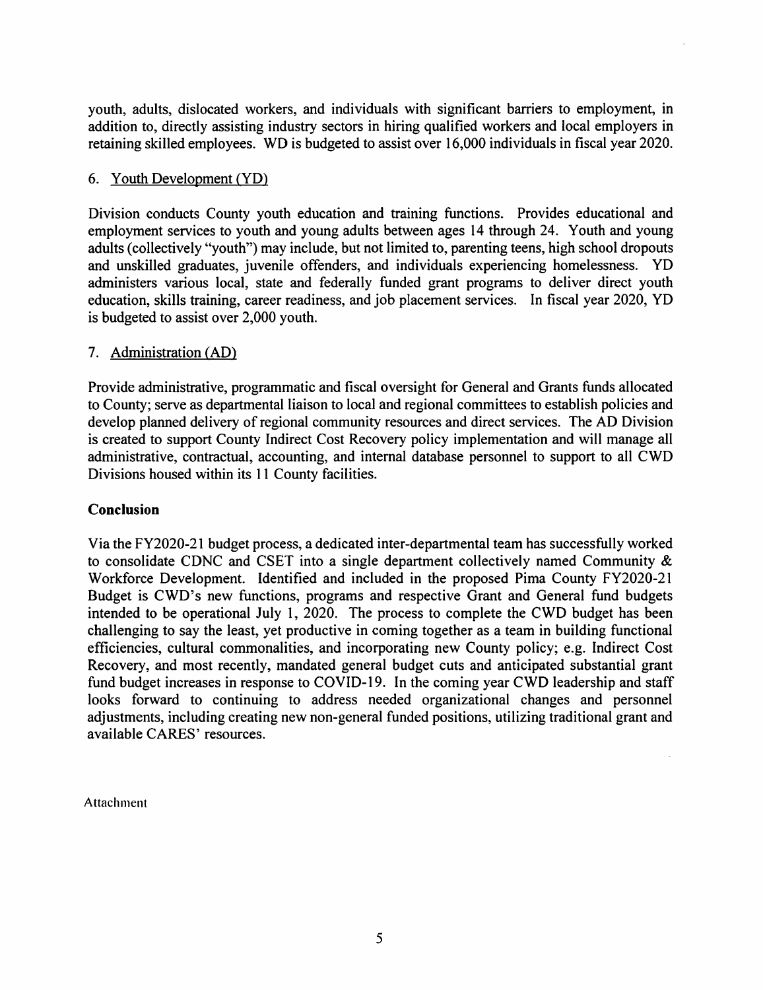youth, adults, dislocated workers, and individuals with significant barriers to employment, in addition to, directly assisting industry sectors in hiring qualified workers and local employers in retaining skilled employees. WD is budgeted to assist over 16,000 individuals in fiscal year 2020.

#### 6. Youth Development (YD)

Division conducts County youth education and training functions. Provides educational and employment services to youth and young adults between ages 14 through 24. Youth and young adults (collectively "youth") may include, but not limited to, parenting teens, high school dropouts and unskilled graduates, juvenile offenders, and individuals experiencing homelessness. YD administers various local, state and federally funded grant programs to deliver direct youth education, skills training, career readiness, and job placement services. In fiscal year 2020, YD is budgeted to assist over 2,000 youth.

## 7. Administration (AD)

Provide administrative, programmatic and fiscal oversight for General and Grants funds allocated to County; serve as departmental liaison to local and regional committees to establish policies and develop planned delivery of regional community resources and direct services. The AD Division is created to support County Indirect Cost Recovery policy implementation and will manage all administrative, contractual, accounting, and internal database personnel to support to all CWD Divisions housed within its 11 County facilities.

#### **Conclusion**

Via the FY2020-21 budget process, a dedicated inter-departmental team has successfully worked to consolidate CDNC and CSET into a single department collectively named Community & Workforce Development. Identified and included in the proposed Pima County FY2020-21 Budget is CWD's new functions, programs and respective Grant and General fund budgets intended to be operational July 1, 2020. The process to complete the CWD budget has been challenging to say the least, yet productive in coming together as a team in building functional efficiencies, cultural commonalities, and incorporating new County policy; e.g. Indirect Cost Recovery, and most recently, mandated general budget cuts and anticipated substantial grant fund budget increases in response to COVID-19. In the coming year CWD leadership and staff looks forward to continuing to address needed organizational changes and personnel adjustments, including creating new non-general funded positions, utilizing traditional grant and available CARES' resources.

Attachment